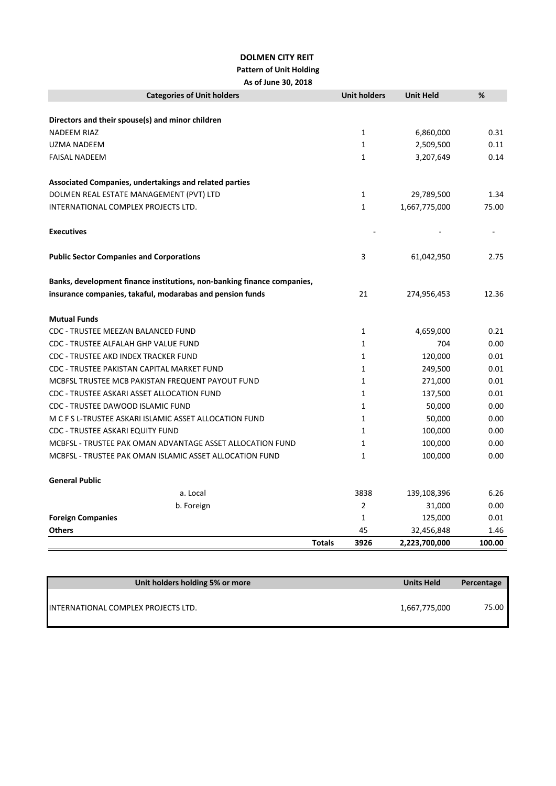## **DOLMEN CITY REIT**

## **Pattern of Unit Holding**

**As of June 30, 2018**

| <b>Categories of Unit holders</b>                                       |               | <b>Unit holders</b> | <b>Unit Held</b> | %      |
|-------------------------------------------------------------------------|---------------|---------------------|------------------|--------|
| Directors and their spouse(s) and minor children                        |               |                     |                  |        |
| <b>NADEEM RIAZ</b>                                                      |               | $\mathbf{1}$        | 6,860,000        | 0.31   |
| <b>UZMA NADEEM</b>                                                      |               | $\mathbf{1}$        | 2,509,500        | 0.11   |
| <b>FAISAL NADEEM</b>                                                    |               | $\mathbf{1}$        | 3,207,649        | 0.14   |
| Associated Companies, undertakings and related parties                  |               |                     |                  |        |
| DOLMEN REAL ESTATE MANAGEMENT (PVT) LTD                                 |               | $\mathbf{1}$        | 29,789,500       | 1.34   |
| INTERNATIONAL COMPLEX PROJECTS LTD.                                     |               | $\mathbf{1}$        | 1,667,775,000    | 75.00  |
| <b>Executives</b>                                                       |               |                     |                  |        |
| <b>Public Sector Companies and Corporations</b>                         |               | 3                   | 61,042,950       | 2.75   |
| Banks, development finance institutions, non-banking finance companies, |               |                     |                  |        |
| insurance companies, takaful, modarabas and pension funds               |               | 21                  | 274,956,453      | 12.36  |
| <b>Mutual Funds</b>                                                     |               |                     |                  |        |
| CDC - TRUSTEE MEEZAN BALANCED FUND                                      |               | $\mathbf{1}$        | 4,659,000        | 0.21   |
| CDC - TRUSTEE ALFALAH GHP VALUE FUND                                    |               | $\mathbf{1}$        | 704              | 0.00   |
| CDC - TRUSTEE AKD INDEX TRACKER FUND                                    |               | $\mathbf{1}$        | 120,000          | 0.01   |
| CDC - TRUSTEE PAKISTAN CAPITAL MARKET FUND                              |               | $\mathbf{1}$        | 249,500          | 0.01   |
| MCBFSL TRUSTEE MCB PAKISTAN FREQUENT PAYOUT FUND                        |               | $\mathbf{1}$        | 271,000          | 0.01   |
| CDC - TRUSTEE ASKARI ASSET ALLOCATION FUND                              |               | $\mathbf{1}$        | 137,500          | 0.01   |
| CDC - TRUSTEE DAWOOD ISLAMIC FUND                                       |               | $\mathbf{1}$        | 50,000           | 0.00   |
| M C F S L-TRUSTEE ASKARI ISLAMIC ASSET ALLOCATION FUND                  |               | $\mathbf{1}$        | 50,000           | 0.00   |
| <b>CDC - TRUSTEE ASKARI EQUITY FUND</b>                                 |               | $\mathbf{1}$        | 100,000          | 0.00   |
| MCBFSL - TRUSTEE PAK OMAN ADVANTAGE ASSET ALLOCATION FUND               |               | $\mathbf{1}$        | 100,000          | 0.00   |
| MCBFSL - TRUSTEE PAK OMAN ISLAMIC ASSET ALLOCATION FUND                 |               | $\mathbf{1}$        | 100,000          | 0.00   |
| <b>General Public</b>                                                   |               |                     |                  |        |
| a. Local                                                                |               | 3838                | 139,108,396      | 6.26   |
| b. Foreign                                                              |               | $\overline{2}$      | 31,000           | 0.00   |
| <b>Foreign Companies</b>                                                |               | $\mathbf{1}$        | 125,000          | 0.01   |
| <b>Others</b>                                                           |               | 45                  | 32,456,848       | 1.46   |
|                                                                         | <b>Totals</b> | 3926                | 2,223,700,000    | 100.00 |

| Unit holders holding 5% or more     | <b>Units Held</b> | Percentage |
|-------------------------------------|-------------------|------------|
| INTERNATIONAL COMPLEX PROJECTS LTD. | 1,667,775,000     | 75.00      |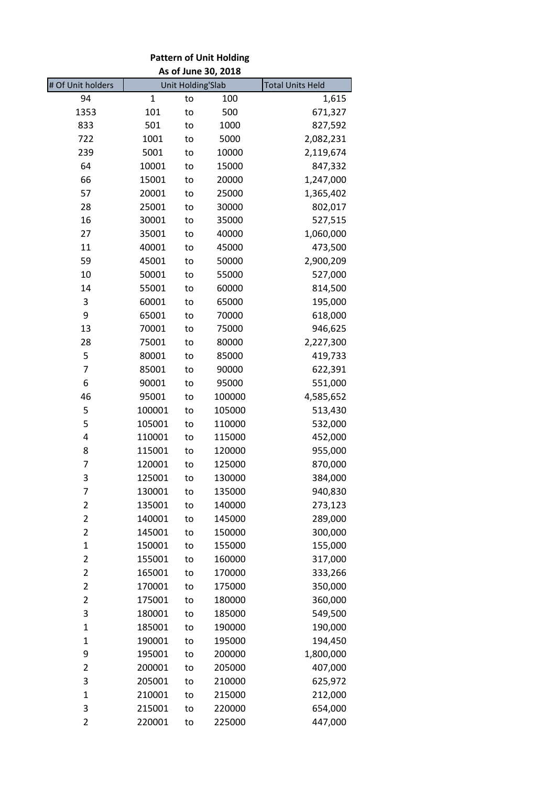| <b>Pattern of Unit Holding</b><br>As of June 30, 2018                    |              |    |        |           |
|--------------------------------------------------------------------------|--------------|----|--------|-----------|
| # Of Unit holders<br><b>Unit Holding'Slab</b><br><b>Total Units Held</b> |              |    |        |           |
| 94                                                                       | $\mathbf{1}$ | to | 100    | 1,615     |
| 1353                                                                     | 101          | to | 500    | 671,327   |
| 833                                                                      | 501          | to | 1000   | 827,592   |
| 722                                                                      | 1001         | to | 5000   | 2,082,231 |
| 239                                                                      | 5001         | to | 10000  | 2,119,674 |
| 64                                                                       | 10001        | to | 15000  | 847,332   |
| 66                                                                       | 15001        | to | 20000  | 1,247,000 |
| 57                                                                       | 20001        | to | 25000  | 1,365,402 |
| 28                                                                       | 25001        | to | 30000  | 802,017   |
| 16                                                                       | 30001        | to | 35000  | 527,515   |
| 27                                                                       | 35001        | to | 40000  | 1,060,000 |
| 11                                                                       | 40001        | to | 45000  | 473,500   |
| 59                                                                       | 45001        | to | 50000  | 2,900,209 |
| 10                                                                       | 50001        | to | 55000  | 527,000   |
| 14                                                                       | 55001        | to | 60000  | 814,500   |
| 3                                                                        | 60001        | to | 65000  | 195,000   |
| 9                                                                        | 65001        | to | 70000  | 618,000   |
| 13                                                                       | 70001        | to | 75000  | 946,625   |
| 28                                                                       | 75001        | to | 80000  | 2,227,300 |
| 5                                                                        | 80001        | to | 85000  | 419,733   |
| 7                                                                        | 85001        | to | 90000  | 622,391   |
| 6                                                                        | 90001        | to | 95000  | 551,000   |
| 46                                                                       | 95001        | to | 100000 | 4,585,652 |
| 5                                                                        | 100001       | to | 105000 | 513,430   |
| 5                                                                        | 105001       | to | 110000 | 532,000   |
| 4                                                                        | 110001       | to | 115000 | 452,000   |
| 8                                                                        | 115001       | to | 120000 | 955,000   |
| 7                                                                        | 120001       | to | 125000 | 870,000   |
| 3                                                                        | 125001       | to | 130000 | 384,000   |
| 7                                                                        | 130001       | to | 135000 | 940,830   |
| $\overline{\mathbf{c}}$                                                  | 135001       | to | 140000 | 273,123   |
| $\overline{c}$                                                           | 140001       | to | 145000 | 289,000   |
| $\overline{\mathbf{c}}$                                                  | 145001       | to | 150000 | 300,000   |
| $\mathbf{1}$                                                             | 150001       | to | 155000 | 155,000   |
| $\overline{c}$                                                           | 155001       | to | 160000 | 317,000   |
| $\overline{2}$                                                           | 165001       | to | 170000 | 333,266   |
| $\overline{2}$                                                           | 170001       | to | 175000 | 350,000   |
| $\overline{\mathbf{c}}$                                                  | 175001       | to | 180000 | 360,000   |
| 3                                                                        | 180001       | to | 185000 | 549,500   |
| $\mathbf{1}$                                                             | 185001       | to | 190000 | 190,000   |
| $\mathbf{1}$                                                             | 190001       | to | 195000 | 194,450   |
| 9                                                                        | 195001       | to | 200000 | 1,800,000 |
| 2                                                                        | 200001       | to | 205000 | 407,000   |
| 3                                                                        | 205001       | to | 210000 | 625,972   |
| $\mathbf{1}$                                                             | 210001       | to | 215000 | 212,000   |
| 3                                                                        | 215001       | to | 220000 | 654,000   |
| $\overline{2}$                                                           | 220001       | to | 225000 | 447,000   |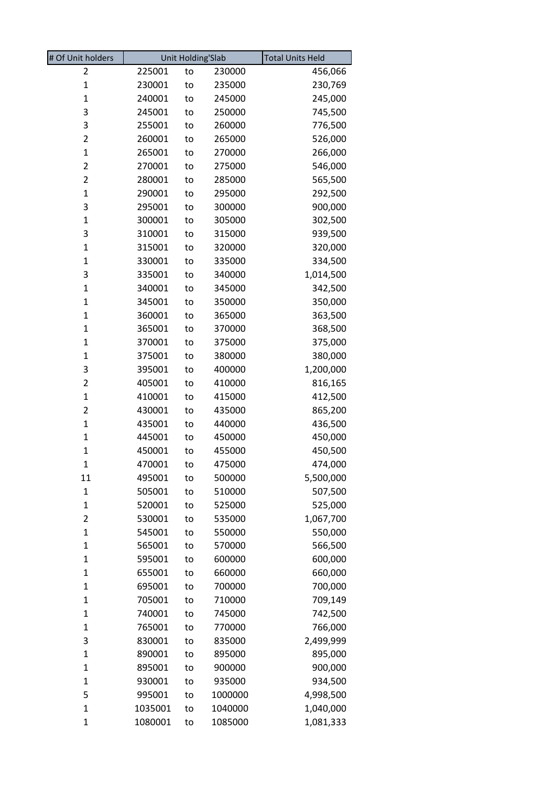| # Of Unit holders       | <b>Unit Holding'Slab</b> |    | <b>Total Units Held</b> |           |
|-------------------------|--------------------------|----|-------------------------|-----------|
| 2                       | 225001                   | to | 230000                  | 456,066   |
| $\mathbf{1}$            | 230001                   | to | 235000                  | 230,769   |
| $\mathbf 1$             | 240001                   | to | 245000                  | 245,000   |
| 3                       | 245001                   | to | 250000                  | 745,500   |
| 3                       | 255001                   | to | 260000                  | 776,500   |
| $\overline{2}$          | 260001                   | to | 265000                  | 526,000   |
| $\mathbf{1}$            | 265001                   | to | 270000                  | 266,000   |
| $\overline{\mathbf{c}}$ | 270001                   | to | 275000                  | 546,000   |
| $\overline{2}$          | 280001                   | to | 285000                  | 565,500   |
| $\mathbf 1$             | 290001                   | to | 295000                  | 292,500   |
| 3                       | 295001                   | to | 300000                  | 900,000   |
| $\mathbf{1}$            | 300001                   | to | 305000                  | 302,500   |
| 3                       | 310001                   | to | 315000                  | 939,500   |
| $\mathbf{1}$            | 315001                   | to | 320000                  | 320,000   |
| $\mathbf{1}$            | 330001                   | to | 335000                  | 334,500   |
| 3                       | 335001                   | to | 340000                  | 1,014,500 |
| $\mathbf{1}$            | 340001                   | to | 345000                  | 342,500   |
| $\mathbf{1}$            | 345001                   | to | 350000                  | 350,000   |
| $\mathbf{1}$            | 360001                   | to | 365000                  | 363,500   |
| $\mathbf{1}$            | 365001                   | to | 370000                  | 368,500   |
| 1                       | 370001                   | to | 375000                  | 375,000   |
| $\mathbf 1$             | 375001                   | to | 380000                  | 380,000   |
| 3                       | 395001                   | to | 400000                  | 1,200,000 |
| $\overline{\mathbf{c}}$ | 405001                   | to | 410000                  | 816,165   |
| $\mathbf{1}$            | 410001                   | to | 415000                  | 412,500   |
| $\overline{\mathbf{c}}$ | 430001                   | to | 435000                  | 865,200   |
| $\mathbf{1}$            | 435001                   | to | 440000                  | 436,500   |
| $\mathbf{1}$            | 445001                   | to | 450000                  | 450,000   |
| $\mathbf{1}$            | 450001                   | to | 455000                  | 450,500   |
| $\mathbf{1}$            | 470001                   | to | 475000                  | 474,000   |
| 11                      | 495001                   | to | 500000                  | 5,500,000 |
| $\mathbf{1}$            | 505001                   | to | 510000                  | 507,500   |
| $\mathbf{1}$            | 520001                   | to | 525000                  | 525,000   |
| 2                       | 530001                   | to | 535000                  | 1,067,700 |
| $\mathbf{1}$            | 545001                   | to | 550000                  | 550,000   |
| $\mathbf{1}$            | 565001                   | to | 570000                  | 566,500   |
| $\mathbf{1}$            | 595001                   | to | 600000                  | 600,000   |
| $\mathbf{1}$            | 655001                   | to | 660000                  | 660,000   |
| $\mathbf{1}$            | 695001                   | to | 700000                  | 700,000   |
| $\mathbf{1}$            | 705001                   | to | 710000                  | 709,149   |
| $\mathbf{1}$            | 740001                   | to | 745000                  | 742,500   |
| 1                       | 765001                   | to | 770000                  | 766,000   |
| 3                       | 830001                   | to | 835000                  | 2,499,999 |
| 1                       | 890001                   | to | 895000                  | 895,000   |
| $\mathbf{1}$            | 895001                   | to | 900000                  | 900,000   |
| $\mathbf{1}$            | 930001                   | to | 935000                  | 934,500   |
| 5                       | 995001                   | to | 1000000                 | 4,998,500 |
| $\mathbf{1}$            | 1035001                  | to | 1040000                 | 1,040,000 |
| 1                       | 1080001                  | to | 1085000                 | 1,081,333 |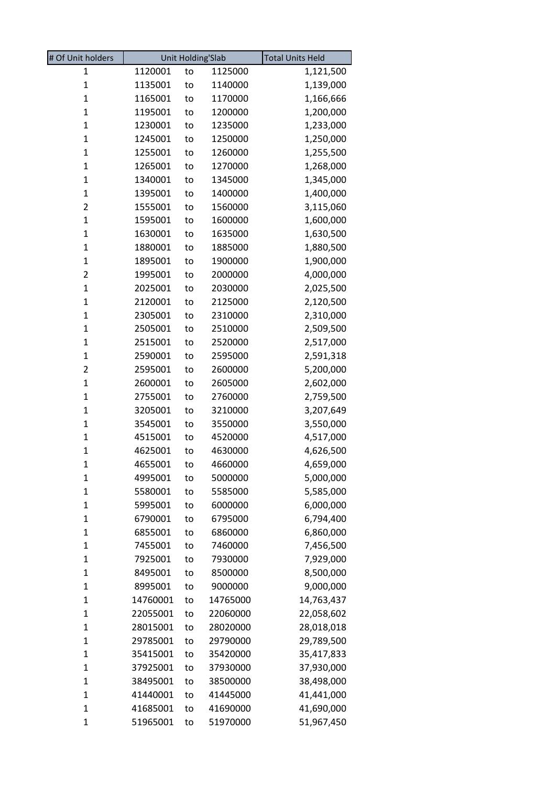| # Of Unit holders       |          | Unit Holding'Slab |          | <b>Total Units Held</b> |
|-------------------------|----------|-------------------|----------|-------------------------|
| 1                       | 1120001  | to                | 1125000  | 1,121,500               |
| $\mathbf{1}$            | 1135001  | to                | 1140000  | 1,139,000               |
| $\mathbf{1}$            | 1165001  | to                | 1170000  | 1,166,666               |
| $\mathbf{1}$            | 1195001  | to                | 1200000  | 1,200,000               |
| $\mathbf{1}$            | 1230001  | to                | 1235000  | 1,233,000               |
| $\mathbf{1}$            | 1245001  | to                | 1250000  | 1,250,000               |
| $\mathbf{1}$            | 1255001  | to                | 1260000  | 1,255,500               |
| $\mathbf{1}$            | 1265001  | to                | 1270000  | 1,268,000               |
| $\mathbf{1}$            | 1340001  | to                | 1345000  | 1,345,000               |
| $\mathbf{1}$            | 1395001  | to                | 1400000  | 1,400,000               |
| $\overline{\mathbf{c}}$ | 1555001  | to                | 1560000  | 3,115,060               |
| $\mathbf{1}$            | 1595001  | to                | 1600000  | 1,600,000               |
| $\mathbf{1}$            | 1630001  | to                | 1635000  | 1,630,500               |
| $\mathbf{1}$            | 1880001  | to                | 1885000  | 1,880,500               |
| $\mathbf{1}$            | 1895001  | to                | 1900000  | 1,900,000               |
| $\overline{c}$          | 1995001  | to                | 2000000  | 4,000,000               |
| $\mathbf{1}$            | 2025001  | to                | 2030000  | 2,025,500               |
| $\mathbf{1}$            | 2120001  | to                | 2125000  | 2,120,500               |
| $\mathbf{1}$            | 2305001  | to                | 2310000  | 2,310,000               |
| $\mathbf 1$             | 2505001  | to                | 2510000  | 2,509,500               |
| $\mathbf{1}$            | 2515001  | to                | 2520000  | 2,517,000               |
| $\mathbf{1}$            | 2590001  | to                | 2595000  | 2,591,318               |
| $\overline{\mathbf{c}}$ | 2595001  | to                | 2600000  | 5,200,000               |
| $\mathbf{1}$            | 2600001  | to                | 2605000  | 2,602,000               |
| $\mathbf 1$             | 2755001  | to                | 2760000  | 2,759,500               |
| $\mathbf{1}$            | 3205001  | to                | 3210000  | 3,207,649               |
| $\mathbf 1$             | 3545001  | to                | 3550000  | 3,550,000               |
| $\mathbf 1$             | 4515001  | to                | 4520000  | 4,517,000               |
| $\mathbf{1}$            | 4625001  | to                | 4630000  | 4,626,500               |
| $\mathbf{1}$            | 4655001  | to                | 4660000  | 4,659,000               |
| $\mathbf 1$             | 4995001  | to                | 5000000  | 5,000,000               |
| $\mathbf 1$             | 5580001  | to                | 5585000  | 5,585,000               |
| $\mathbf 1$             | 5995001  | to                | 6000000  | 6,000,000               |
| $\mathbf 1$             | 6790001  | to                | 6795000  | 6,794,400               |
| $\mathbf 1$             | 6855001  | to                | 6860000  | 6,860,000               |
| $\mathbf 1$             | 7455001  | to                | 7460000  | 7,456,500               |
| $\mathbf 1$             | 7925001  | to                | 7930000  | 7,929,000               |
| $\mathbf 1$             | 8495001  | to                | 8500000  | 8,500,000               |
| $\mathbf 1$             | 8995001  | to                | 9000000  | 9,000,000               |
| $\mathbf 1$             | 14760001 | to                | 14765000 | 14,763,437              |
| $\mathbf 1$             | 22055001 | to                | 22060000 | 22,058,602              |
| $\mathbf 1$             | 28015001 | to                | 28020000 | 28,018,018              |
| $\mathbf 1$             | 29785001 | to                | 29790000 | 29,789,500              |
| $\mathbf 1$             | 35415001 | to                | 35420000 | 35,417,833              |
| $\mathbf 1$             | 37925001 | to                | 37930000 | 37,930,000              |
| $\mathbf 1$             | 38495001 | to                | 38500000 | 38,498,000              |
| $\mathbf 1$             | 41440001 | to                | 41445000 | 41,441,000              |
| $\mathbf 1$             | 41685001 | to                | 41690000 | 41,690,000              |
| 1                       | 51965001 | to                | 51970000 | 51,967,450              |